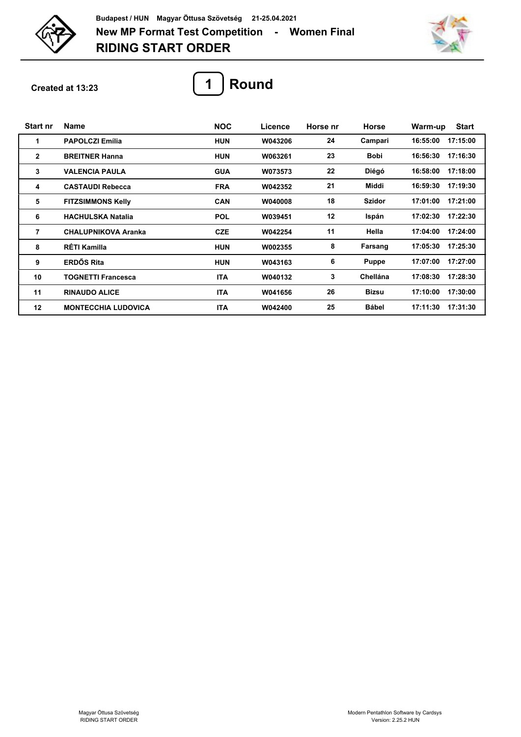



**Created at 13:23**



| <b>Start nr</b> | <b>Name</b>                | <b>NOC</b> | Licence | Horse nr | Horse           | <b>Start</b><br>Warm-up |
|-----------------|----------------------------|------------|---------|----------|-----------------|-------------------------|
| 1               | <b>PAPOLCZI Emília</b>     | <b>HUN</b> | W043206 | 24       | Campari         | 17:15:00<br>16:55:00    |
| $\mathbf{2}$    | <b>BREITNER Hanna</b>      | <b>HUN</b> | W063261 | 23       | <b>Bobi</b>     | 16:56:30<br>17:16:30    |
| 3               | <b>VALENCIA PAULA</b>      | <b>GUA</b> | W073573 | 22       | Diégó           | 17:18:00<br>16:58:00    |
| 4               | <b>CASTAUDI Rebecca</b>    | <b>FRA</b> | W042352 | 21       | Middi           | 16:59:30<br>17:19:30    |
| 5               | <b>FITZSIMMONS Kelly</b>   | <b>CAN</b> | W040008 | 18       | <b>Szidor</b>   | 17:01:00<br>17:21:00    |
| 6               | <b>HACHULSKA Natalia</b>   | <b>POL</b> | W039451 | 12       | Ispán           | 17:22:30<br>17:02:30    |
| 7               | <b>CHALUPNIKOVA Aranka</b> | <b>CZE</b> | W042254 | 11       | Hella           | 17:04:00<br>17:24:00    |
| 8               | <b>RÉTI Kamilla</b>        | <b>HUN</b> | W002355 | 8        | Farsang         | 17:05:30<br>17:25:30    |
| 9               | <b>ERDŐS Rita</b>          | <b>HUN</b> | W043163 | 6        | <b>Puppe</b>    | 17:07:00<br>17:27:00    |
| 10              | <b>TOGNETTI Francesca</b>  | <b>ITA</b> | W040132 | 3        | <b>Chellána</b> | 17:08:30<br>17:28:30    |
| 11              | <b>RINAUDO ALICE</b>       | <b>ITA</b> | W041656 | 26       | Bizsu           | 17:10:00<br>17:30:00    |
| 12              | <b>MONTECCHIA LUDOVICA</b> | <b>ITA</b> | W042400 | 25       | <b>Bábel</b>    | 17:11:30<br>17:31:30    |